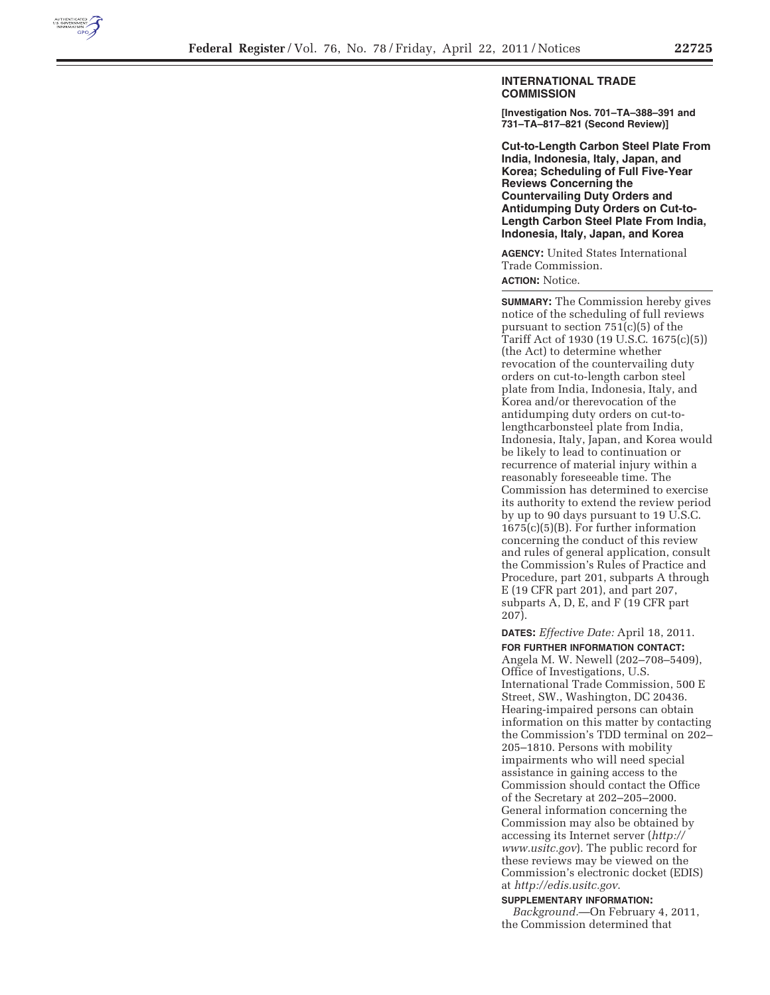

## **INTERNATIONAL TRADE COMMISSION**

**[Investigation Nos. 701–TA–388–391 and 731–TA–817–821 (Second Review)]** 

**Cut-to-Length Carbon Steel Plate From India, Indonesia, Italy, Japan, and Korea; Scheduling of Full Five-Year Reviews Concerning the Countervailing Duty Orders and Antidumping Duty Orders on Cut-to-Length Carbon Steel Plate From India, Indonesia, Italy, Japan, and Korea** 

**AGENCY:** United States International Trade Commission.

**ACTION:** Notice.

**SUMMARY:** The Commission hereby gives notice of the scheduling of full reviews pursuant to section 751(c)(5) of the Tariff Act of 1930 (19 U.S.C. 1675(c)(5)) (the Act) to determine whether revocation of the countervailing duty orders on cut-to-length carbon steel plate from India, Indonesia, Italy, and Korea and/or therevocation of the antidumping duty orders on cut-tolengthcarbonsteel plate from India, Indonesia, Italy, Japan, and Korea would be likely to lead to continuation or recurrence of material injury within a reasonably foreseeable time. The Commission has determined to exercise its authority to extend the review period by up to 90 days pursuant to 19 U.S.C. 1675(c)(5)(B). For further information concerning the conduct of this review and rules of general application, consult the Commission's Rules of Practice and Procedure, part 201, subparts A through E (19 CFR part 201), and part 207, subparts A, D, E, and F (19 CFR part 207).

**DATES:** *Effective Date:* April 18, 2011. **FOR FURTHER INFORMATION CONTACT:**  Angela M. W. Newell (202–708–5409), Office of Investigations, U.S. International Trade Commission, 500 E Street, SW., Washington, DC 20436. Hearing-impaired persons can obtain information on this matter by contacting the Commission's TDD terminal on 202– 205–1810. Persons with mobility impairments who will need special assistance in gaining access to the Commission should contact the Office of the Secretary at 202–205–2000. General information concerning the Commission may also be obtained by accessing its Internet server (*http:// www.usitc.gov*). The public record for these reviews may be viewed on the Commission's electronic docket (EDIS) at *http://edis.usitc.gov*.

**SUPPLEMENTARY INFORMATION:**  *Background.*—On February 4, 2011, the Commission determined that